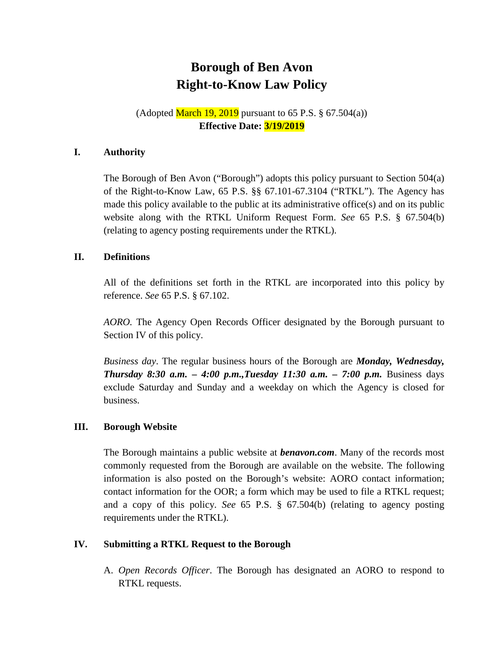# **Borough of Ben Avon Right-to-Know Law Policy**

# (Adopted March 19, 2019 pursuant to 65 P.S.  $\S$  67.504(a)) **Effective Date: 3/19/2019**

## **I. Authority**

The Borough of Ben Avon ("Borough") adopts this policy pursuant to Section 504(a) of the Right-to-Know Law, 65 P.S. §§ 67.101-67.3104 ("RTKL"). The Agency has made this policy available to the public at its administrative office(s) and on its public website along with the RTKL Uniform Request Form. *See* 65 P.S. § 67.504(b) (relating to agency posting requirements under the RTKL).

## **II. Definitions**

All of the definitions set forth in the RTKL are incorporated into this policy by reference. *See* 65 P.S. § 67.102.

*AORO.* The Agency Open Records Officer designated by the Borough pursuant to Section IV of this policy.

*Business day*. The regular business hours of the Borough are *Monday, Wednesday, Thursday 8:30 a.m. – 4:00 p.m.,Tuesday 11:30 a.m. – 7:00 p.m.* Business days exclude Saturday and Sunday and a weekday on which the Agency is closed for business.

### **III. Borough Website**

The Borough maintains a public website at *benavon.com*. Many of the records most commonly requested from the Borough are available on the website. The following information is also posted on the Borough's website: AORO contact information; contact information for the OOR; a form which may be used to file a RTKL request; and a copy of this policy. *See* 65 P.S. § 67.504(b) (relating to agency posting requirements under the RTKL).

## **IV. Submitting a RTKL Request to the Borough**

A. *Open Records Officer*. The Borough has designated an AORO to respond to RTKL requests.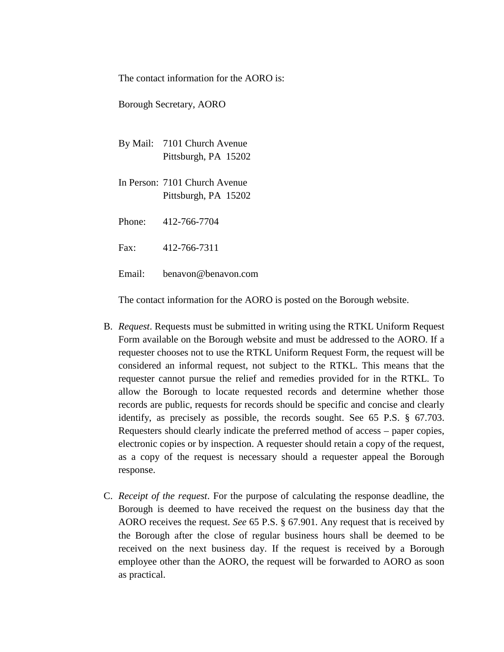The contact information for the AORO is:

Borough Secretary, AORO

- By Mail: 7101 Church Avenue Pittsburgh, PA 15202
- In Person: 7101 Church Avenue Pittsburgh, PA 15202

Phone: 412-766-7704

Fax: 412-766-7311

Email: benavon@benavon.com

The contact information for the AORO is posted on the Borough website.

- B. *Request*. Requests must be submitted in writing using the RTKL Uniform Request Form available on the Borough website and must be addressed to the AORO. If a requester chooses not to use the RTKL Uniform Request Form, the request will be considered an informal request, not subject to the RTKL. This means that the requester cannot pursue the relief and remedies provided for in the RTKL. To allow the Borough to locate requested records and determine whether those records are public, requests for records should be specific and concise and clearly identify, as precisely as possible, the records sought. See 65 P.S. § 67.703. Requesters should clearly indicate the preferred method of access – paper copies, electronic copies or by inspection. A requester should retain a copy of the request, as a copy of the request is necessary should a requester appeal the Borough response.
- C. *Receipt of the request*. For the purpose of calculating the response deadline, the Borough is deemed to have received the request on the business day that the AORO receives the request. *See* 65 P.S. § 67.901. Any request that is received by the Borough after the close of regular business hours shall be deemed to be received on the next business day. If the request is received by a Borough employee other than the AORO, the request will be forwarded to AORO as soon as practical.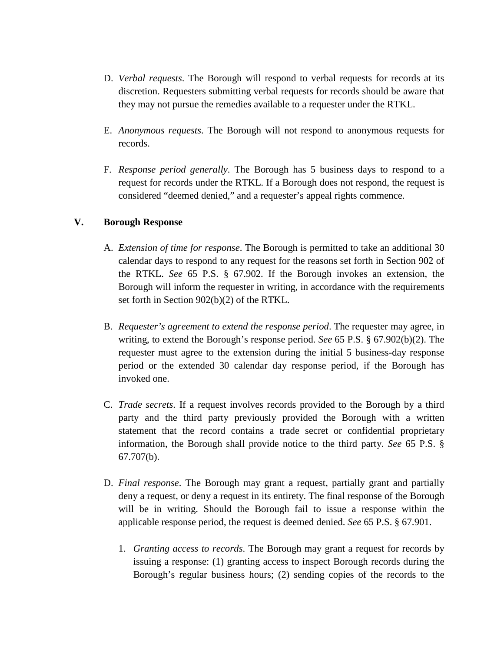- D. *Verbal requests*. The Borough will respond to verbal requests for records at its discretion. Requesters submitting verbal requests for records should be aware that they may not pursue the remedies available to a requester under the RTKL.
- E. *Anonymous requests*. The Borough will not respond to anonymous requests for records.
- F. *Response period generally*. The Borough has 5 business days to respond to a request for records under the RTKL. If a Borough does not respond, the request is considered "deemed denied," and a requester's appeal rights commence.

## **V. Borough Response**

- A. *Extension of time for response*. The Borough is permitted to take an additional 30 calendar days to respond to any request for the reasons set forth in Section 902 of the RTKL. *See* 65 P.S. § 67.902. If the Borough invokes an extension, the Borough will inform the requester in writing, in accordance with the requirements set forth in Section 902(b)(2) of the RTKL.
- B. *Requester's agreement to extend the response period*. The requester may agree, in writing, to extend the Borough's response period. *See* 65 P.S. § 67.902(b)(2). The requester must agree to the extension during the initial 5 business-day response period or the extended 30 calendar day response period, if the Borough has invoked one.
- C. *Trade secrets*. If a request involves records provided to the Borough by a third party and the third party previously provided the Borough with a written statement that the record contains a trade secret or confidential proprietary information, the Borough shall provide notice to the third party. *See* 65 P.S. § 67.707(b).
- D. *Final response*. The Borough may grant a request, partially grant and partially deny a request, or deny a request in its entirety. The final response of the Borough will be in writing. Should the Borough fail to issue a response within the applicable response period, the request is deemed denied. *See* 65 P.S. § 67.901.
	- 1. *Granting access to records*. The Borough may grant a request for records by issuing a response: (1) granting access to inspect Borough records during the Borough's regular business hours; (2) sending copies of the records to the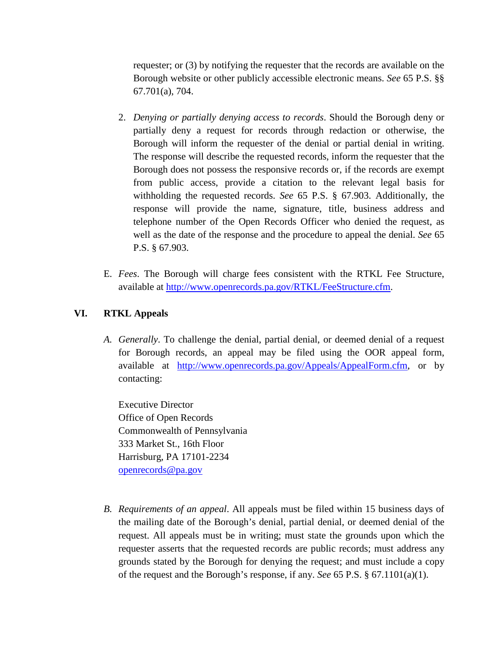requester; or (3) by notifying the requester that the records are available on the Borough website or other publicly accessible electronic means. *See* 65 P.S. §§ 67.701(a), 704.

- 2. *Denying or partially denying access to records*. Should the Borough deny or partially deny a request for records through redaction or otherwise, the Borough will inform the requester of the denial or partial denial in writing. The response will describe the requested records, inform the requester that the Borough does not possess the responsive records or, if the records are exempt from public access, provide a citation to the relevant legal basis for withholding the requested records. *See* 65 P.S. § 67.903. Additionally, the response will provide the name, signature, title, business address and telephone number of the Open Records Officer who denied the request, as well as the date of the response and the procedure to appeal the denial. *See* 65 P.S. § 67.903.
- E. *Fees*. The Borough will charge fees consistent with the RTKL Fee Structure, available at [http://www.openrecords.pa.gov/RTKL/FeeStructure.cfm.](http://www.openrecords.pa.gov/RTKL/FeeStructure.cfm)

## **VI. RTKL Appeals**

*A. Generally*. To challenge the denial, partial denial, or deemed denial of a request for Borough records, an appeal may be filed using the OOR appeal form, available at [http://www.openrecords.pa.gov/Appeals/AppealForm.cfm,](http://www.openrecords.pa.gov/Appeals/AppealForm.cfm) or by contacting:

Executive Director Office of Open Records Commonwealth of Pennsylvania 333 Market St., 16th Floor Harrisburg, PA 17101-2234 [openrecords@pa.gov](mailto:openrecords@pa.gov)

*B. Requirements of an appeal*. All appeals must be filed within 15 business days of the mailing date of the Borough's denial, partial denial, or deemed denial of the request. All appeals must be in writing; must state the grounds upon which the requester asserts that the requested records are public records; must address any grounds stated by the Borough for denying the request; and must include a copy of the request and the Borough's response, if any. *See* 65 P.S. § 67.1101(a)(1).